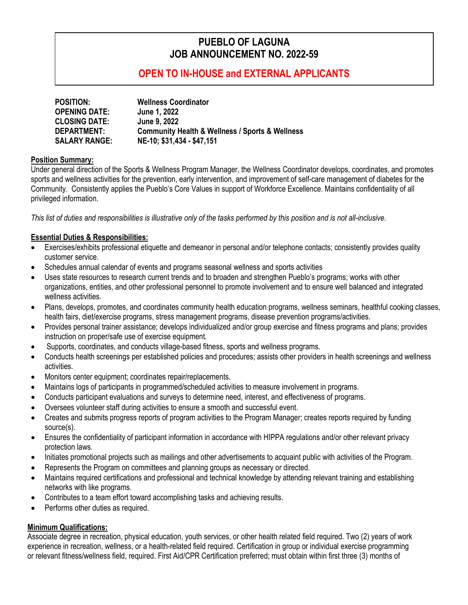# **PUEBLO OF LAGUNA JOB ANNOUNCEMENT NO. 2022-59**

## **OPEN TO IN-HOUSE and EXTERNAL APPLICANTS**

| <b>POSITION:</b>     | <b>Wellness Coordinator</b>                                    |
|----------------------|----------------------------------------------------------------|
| <b>OPENING DATE:</b> | <b>June 1, 2022</b>                                            |
| <b>CLOSING DATE:</b> | <b>June 9, 2022</b>                                            |
| <b>DEPARTMENT:</b>   | <b>Community Health &amp; Wellness / Sports &amp; Wellness</b> |
| <b>SALARY RANGE:</b> | NE-10; \$31,434 - \$47,151                                     |

### **Position Summary:**

Under general direction of the Sports & Wellness Program Manager, the Wellness Coordinator develops, coordinates, and promotes sports and wellness activities for the prevention, early intervention, and improvement of self-care management of diabetes for the Community. Consistently applies the Pueblo's Core Values in support of Workforce Excellence. Maintains confidentiality of all privileged information.

*This list of duties and responsibilities is illustrative only of the tasks performed by this position and is not all-inclusive.*

## **Essential Duties & Responsibilities:**

- Exercises/exhibits professional etiquette and demeanor in personal and/or telephone contacts; consistently provides quality customer service.
- Schedules annual calendar of events and programs seasonal wellness and sports activities
- Uses state resources to research current trends and to broaden and strengthen Pueblo's programs; works with other organizations, entities, and other professional personnel to promote involvement and to ensure well balanced and integrated wellness activities.
- Plans, develops, promotes, and coordinates community health education programs, wellness seminars, healthful cooking classes, health fairs, diet/exercise programs, stress management programs, disease prevention programs/activities.
- Provides personal trainer assistance; develops individualized and/or group exercise and fitness programs and plans; provides instruction on proper/safe use of exercise equipment.
- Supports, coordinates, and conducts village-based fitness, sports and wellness programs.
- Conducts health screenings per established policies and procedures; assists other providers in health screenings and wellness activities.
- Monitors center equipment; coordinates repair/replacements.
- Maintains logs of participants in programmed/scheduled activities to measure involvement in programs.
- Conducts participant evaluations and surveys to determine need, interest, and effectiveness of programs.
- Oversees volunteer staff during activities to ensure a smooth and successful event.
- Creates and submits progress reports of program activities to the Program Manager; creates reports required by funding source(s).
- Ensures the confidentiality of participant information in accordance with HIPPA regulations and/or other relevant privacy protection laws.
- Initiates promotional projects such as mailings and other advertisements to acquaint public with activities of the Program.
- Represents the Program on committees and planning groups as necessary or directed.
- Maintains required certifications and professional and technical knowledge by attending relevant training and establishing networks with like programs.
- Contributes to a team effort toward accomplishing tasks and achieving results.
- Performs other duties as required.

## **Minimum Qualifications:**

Associate degree in recreation, physical education, youth services, or other health related field required. Two (2) years of work experience in recreation, wellness, or a health-related field required. Certification in group or individual exercise programming or relevant fitness/wellness field, required. First Aid/CPR Certification preferred; must obtain within first three (3) months of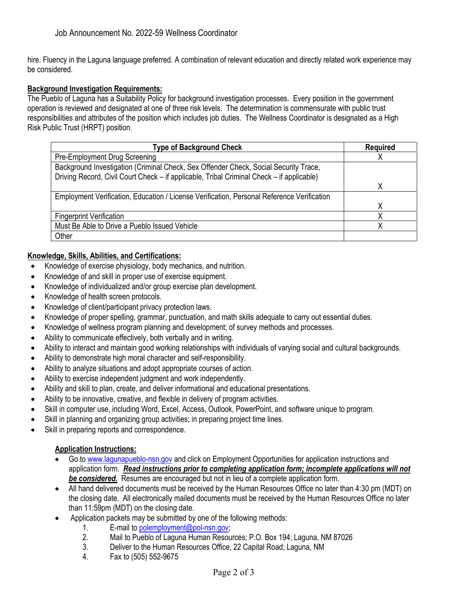hire. Fluency in the Laguna language preferred. A combination of relevant education and directly related work experience may be considered.

### **Background Investigation Requirements:**

The Pueblo of Laguna has a Suitability Policy for background investigation processes. Every position in the government operation is reviewed and designated at one of three risk levels. The determination is commensurate with public trust responsibilities and attributes of the position which includes job duties. The Wellness Coordinator is designated as a High Risk Public Trust (HRPT) position.

| <b>Type of Background Check</b>                                                            | <b>Required</b> |
|--------------------------------------------------------------------------------------------|-----------------|
| Pre-Employment Drug Screening                                                              |                 |
| Background Investigation (Criminal Check, Sex Offender Check, Social Security Trace,       |                 |
| Driving Record, Civil Court Check – if applicable, Tribal Criminal Check – if applicable)  |                 |
|                                                                                            |                 |
| Employment Verification, Education / License Verification, Personal Reference Verification |                 |
|                                                                                            | χ               |
| <b>Fingerprint Verification</b>                                                            |                 |
| Must Be Able to Drive a Pueblo Issued Vehicle                                              |                 |
| Other                                                                                      |                 |

## **Knowledge, Skills, Abilities, and Certifications:**

- Knowledge of exercise physiology, body mechanics, and nutrition.
- Knowledge of and skill in proper use of exercise equipment.
- Knowledge of individualized and/or group exercise plan development.
- Knowledge of health screen protocols.
- Knowledge of client/participant privacy protection laws.
- Knowledge of proper spelling, grammar, punctuation, and math skills adequate to carry out essential duties.
- Knowledge of wellness program planning and development; of survey methods and processes.
- Ability to communicate effectively, both verbally and in writing.
- Ability to interact and maintain good working relationships with individuals of varying social and cultural backgrounds.
- Ability to demonstrate high moral character and self-responsibility.
- Ability to analyze situations and adopt appropriate courses of action.
- Ability to exercise independent judgment and work independently.
- Ability and skill to plan, create, and deliver informational and educational presentations.
- Ability to be innovative, creative, and flexible in delivery of program activities.
- Skill in computer use, including Word, Excel, Access, Outlook, PowerPoint, and software unique to program.
- Skill in planning and organizing group activities; in preparing project time lines.
- Skill in preparing reports and correspondence.

## **Application Instructions:**

- Go t[o www.lagunapueblo-nsn.gov](http://www.lagunapueblo-nsn.gov/) and click on Employment Opportunities for application instructions and application form. *Read instructions prior to completing application form; incomplete applications will not be considered.* Resumes are encouraged but not in lieu of a complete application form.
- All hand delivered documents must be received by the Human Resources Office no later than 4:30 pm (MDT) on the closing date. All electronically mailed documents must be received by the Human Resources Office no later than 11:59pm (MDT) on the closing date.
- Application packets may be submitted by one of the following methods:
	- 1. E-mail to [polemployment@pol-nsn.gov;](mailto:polemployment@pol-nsn.gov)
	- 2. Mail to Pueblo of Laguna Human Resources; P.O. Box 194; Laguna, NM 87026
	- 3. Deliver to the Human Resources Office, 22 Capital Road; Laguna, NM
	- 4. Fax to (505) 552-9675